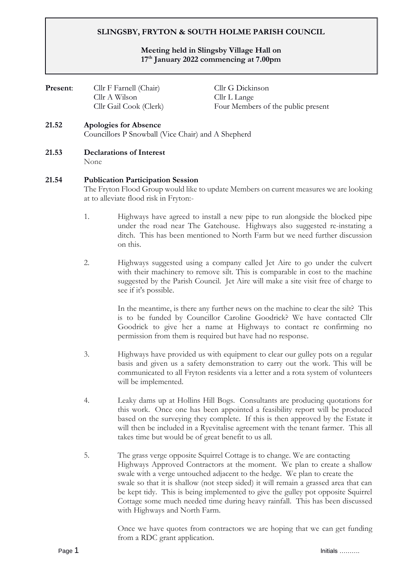# **SLINGSBY, FRYTON & SOUTH HOLME PARISH COUNCIL**

### **Meeting held in Slingsby Village Hall on 17th January 2022 commencing at 7.00pm**

| <b>Present:</b> | Cllr F Farnell (Chair)<br>Cllr A Wilson<br>Cllr Gail Cook (Clerk) | Cllr G Dickinson<br>Cllr L Lange<br>Four Members of the public present |
|-----------------|-------------------------------------------------------------------|------------------------------------------------------------------------|
| 21.52           | <b>Apologies for Absence</b>                                      |                                                                        |

# Councillors P Snowball (Vice Chair) and A Shepherd

**21.53 Declarations of Interest**

None

#### **21.54 Publication Participation Session**

The Fryton Flood Group would like to update Members on current measures we are looking at to alleviate flood risk in Fryton:-

- 1. Highways have agreed to install a new pipe to run alongside the blocked pipe under the road near The Gatehouse. Highways also suggested re-instating a ditch. This has been mentioned to North Farm but we need further discussion on this.
- 2. Highways suggested using a company called Jet Aire to go under the culvert with their machinery to remove silt. This is comparable in cost to the machine suggested by the Parish Council. Jet Aire will make a site visit free of charge to see if it's possible.

In the meantime, is there any further news on the machine to clear the silt? This is to be funded by Councillor Caroline Goodrick? We have contacted Cllr Goodrick to give her a name at Highways to contact re confirming no permission from them is required but have had no response.

- 3. Highways have provided us with equipment to clear our gulley pots on a regular basis and given us a safety demonstration to carry out the work. This will be communicated to all Fryton residents via a letter and a rota system of volunteers will be implemented.
- 4. Leaky dams up at Hollins Hill Bogs. Consultants are producing quotations for this work. Once one has been appointed a feasibility report will be produced based on the surveying they complete. If this is then approved by the Estate it will then be included in a Ryevitalise agreement with the tenant farmer. This all takes time but would be of great benefit to us all.
- 5. The grass verge opposite Squirrel Cottage is to change. We are contacting Highways Approved Contractors at the moment. We plan to create a shallow swale with a verge untouched adjacent to the hedge. We plan to create the swale so that it is shallow (not steep sided) it will remain a grassed area that can be kept tidy. This is being implemented to give the gulley pot opposite Squirrel Cottage some much needed time during heavy rainfall. This has been discussed with Highways and North Farm.

Once we have quotes from contractors we are hoping that we can get funding from a RDC grant application.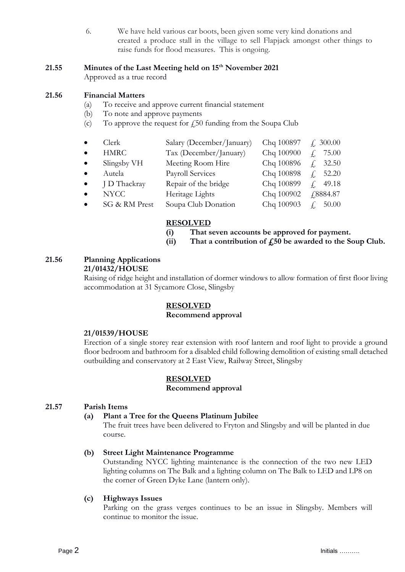6. We have held various car boots, been given some very kind donations and created a produce stall in the village to sell Flapjack amongst other things to raise funds for flood measures. This is ongoing.

#### **21.55 Minutes of the Last Meeting held on 15th November 2021**

Approved as a true record

#### **21.56 Financial Matters**

- (a) To receive and approve current financial statement
- (b) To note and approve payments
- (c) To approve the request for  $\ell$ 50 funding from the Soupa Club

|           | Clerk       | Salary (December/January) | Chq 100897 $\neq$ 300.00 |                |
|-----------|-------------|---------------------------|--------------------------|----------------|
|           | HMRC        | Tax (December/January)    | Chq 100900               | $\angle 75.00$ |
| $\bullet$ | Slingsby VH | Meeting Room Hire         | Chq 100896 $f$ , 32.50   |                |
|           | Autela      | Payroll Services          | Chq 100898 $f$ , 52.20   |                |
|           |             |                           | $C1 = 100000$            | 1010           |

- J D Thackray Repair of the bridge Chq 100899  $\leq$  49.18 • NYCC Heritage Lights Chq 100902 £8884.87
- $\text{SG} \& \text{RM} \text{ Prest}$  Soupa Club Donation Chq 100903  $\neq 50.00$

#### **RESOLVED**

**(i) That seven accounts be approved for payment.**

**(ii) That a contribution of £50 be awarded to the Soup Club.**

#### **21.56 Planning Applications 21/01432/HOUSE**

Raising of ridge height and installation of dormer windows to allow formation of first floor living accommodation at 31 Sycamore Close, Slingsby

# **RESOLVED**

# **Recommend approval**

#### **21/01539/HOUSE**

Erection of a single storey rear extension with roof lantern and roof light to provide a ground floor bedroom and bathroom for a disabled child following demolition of existing small detached outbuilding and conservatory at 2 East View, Railway Street, Slingsby

#### **RESOLVED**

#### **Recommend approval**

#### **21.57 Parish Items**

#### **(a) Plant a Tree for the Queens Platinum Jubilee**

The fruit trees have been delivered to Fryton and Slingsby and will be planted in due course.

# **(b) Street Light Maintenance Programme**

 Outstanding NYCC lighting maintenance is the connection of the two new LED lighting columns on The Balk and a lighting column on The Balk to LED and LP8 on the corner of Green Dyke Lane (lantern only).

# **(c) Highways Issues**

Parking on the grass verges continues to be an issue in Slingsby. Members will continue to monitor the issue.